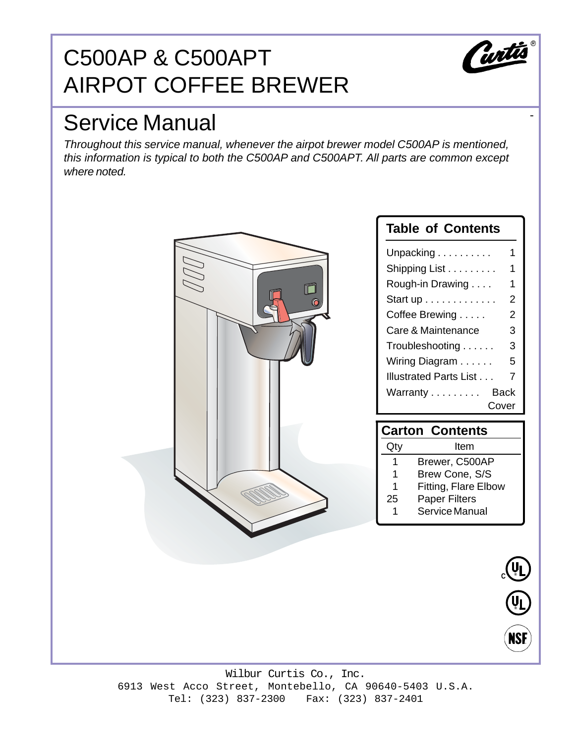# C500AP & C500APT AIRPOT COFFEE BREWER



-

# Service Manual

Throughout this service manual, whenever the airpot brewer model C500AP is mentioned, this information is typical to both the C500AP and C500APT. All parts are common except where noted.



Wilbur Curtis Co., Inc. 6913 West Acco Street, Montebello, CA 90640-5403 U.S.A. Tel: (323) 837-2300 Fax: (323) 837-2401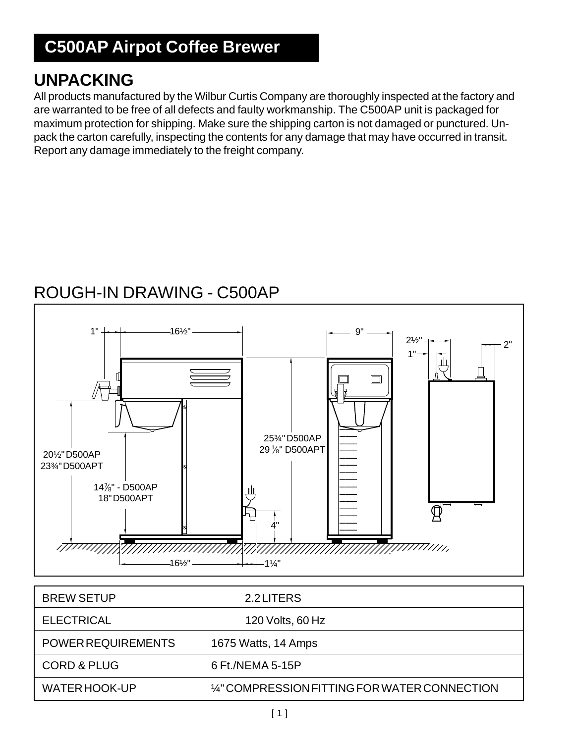# **C500AP Airpot Coffee Brewer**

### **UNPACKING**

All products manufactured by the Wilbur Curtis Company are thoroughly inspected at the factory and are warranted to be free of all defects and faulty workmanship. The C500AP unit is packaged for maximum protection for shipping. Make sure the shipping carton is not damaged or punctured. Unpack the carton carefully, inspecting the contents for any damage that may have occurred in transit. Report any damage immediately to the freight company.

# ROUGH-IN DRAWING - C500AP



| <b>BREW SETUP</b>         | 2.2 LITERS                                    |
|---------------------------|-----------------------------------------------|
| <b>ELECTRICAL</b>         | 120 Volts, 60 Hz                              |
| <b>POWER REQUIREMENTS</b> | 1675 Watts, 14 Amps                           |
| <b>CORD &amp; PLUG</b>    | 6 Ft./NEMA 5-15P                              |
| WATER HOOK-UP             | 1/4" COMPRESSION FITTING FOR WATER CONNECTION |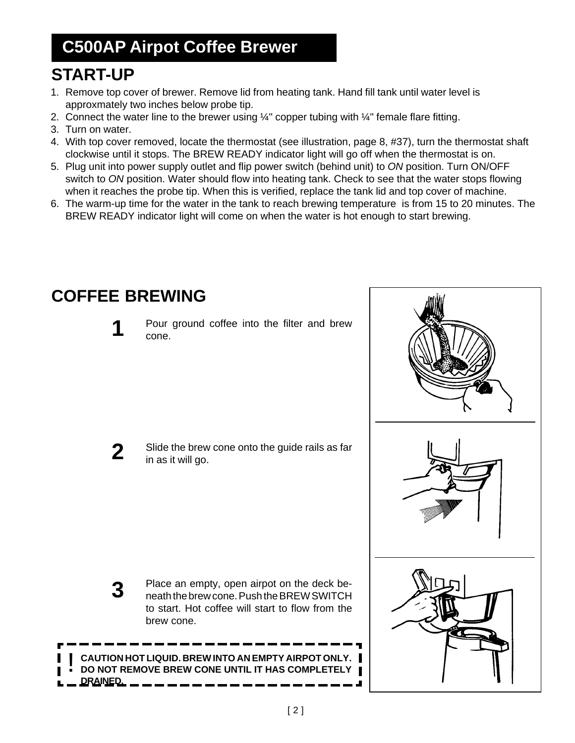# **C500AP Airpot Coffee Brewer**

# **START-UP**

- 1. Remove top cover of brewer. Remove lid from heating tank. Hand fill tank until water level is approxmately two inches below probe tip.
- 2. Connect the water line to the brewer using  $\frac{1}{4}$ " copper tubing with  $\frac{1}{4}$ " female flare fitting.
- 3. Turn on water.
- 4. With top cover removed, locate the thermostat (see illustration, page 8, #37), turn the thermostat shaft clockwise until it stops. The BREW READY indicator light will go off when the thermostat is on.
- 5. Plug unit into power supply outlet and flip power switch (behind unit) to ON position. Turn ON/OFF switch to ON position. Water should flow into heating tank. Check to see that the water stops flowing when it reaches the probe tip. When this is verified, replace the tank lid and top cover of machine.
- 6. The warm-up time for the water in the tank to reach brewing temperature is from 15 to 20 minutes. The BREW READY indicator light will come on when the water is hot enough to start brewing.



### **COFFEE BREWING**



**3**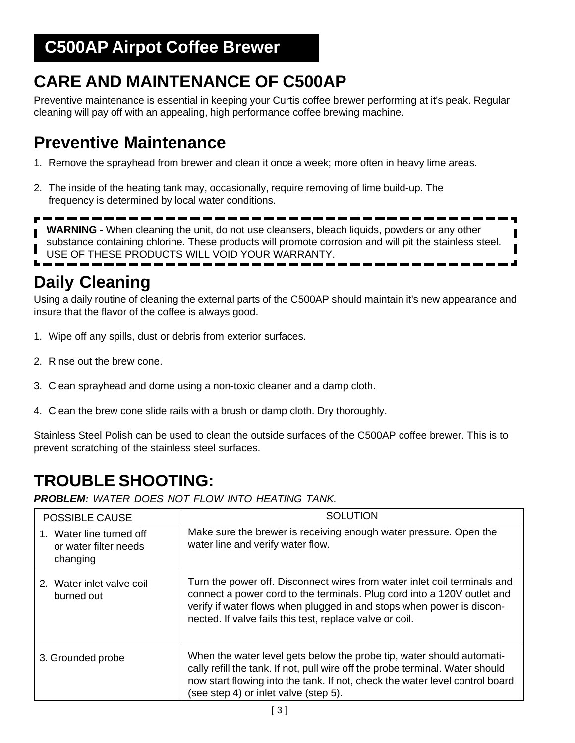### **C500AP Airpot Coffee Brewer**

# **CARE AND MAINTENANCE OF C500AP**

Preventive maintenance is essential in keeping your Curtis coffee brewer performing at it's peak. Regular cleaning will pay off with an appealing, high performance coffee brewing machine.

### **Preventive Maintenance**

- 1. Remove the sprayhead from brewer and clean it once a week; more often in heavy lime areas.
- 2. The inside of the heating tank may, occasionally, require removing of lime build-up. The frequency is determined by local water conditions.

----**WARNING** - When cleaning the unit, do not use cleansers, bleach liquids, powders or any other substance containing chlorine. These products will promote corrosion and will pit the stainless steel. USE OF THESE PRODUCTS WILL VOID YOUR WARRANTY.

### **Daily Cleaning**

Using a daily routine of cleaning the external parts of the C500AP should maintain it's new appearance and insure that the flavor of the coffee is always good.

- 1. Wipe off any spills, dust or debris from exterior surfaces.
- 2. Rinse out the brew cone.
- 3. Clean sprayhead and dome using a non-toxic cleaner and a damp cloth.
- 4. Clean the brew cone slide rails with a brush or damp cloth. Dry thoroughly.

Stainless Steel Polish can be used to clean the outside surfaces of the C500AP coffee brewer. This is to prevent scratching of the stainless steel surfaces.

# **TROUBLE SHOOTING:**

**PROBLEM:** WATER DOES NOT FLOW INTO HEATING TANK.

| <b>POSSIBLE CAUSE</b>                                         | <b>SOLUTION</b>                                                                                                                                                                                                                                                                          |
|---------------------------------------------------------------|------------------------------------------------------------------------------------------------------------------------------------------------------------------------------------------------------------------------------------------------------------------------------------------|
| 1. Water line turned off<br>or water filter needs<br>changing | Make sure the brewer is receiving enough water pressure. Open the<br>water line and verify water flow.                                                                                                                                                                                   |
| 2. Water inlet valve coil<br>burned out                       | Turn the power off. Disconnect wires from water inlet coil terminals and<br>connect a power cord to the terminals. Plug cord into a 120V outlet and<br>verify if water flows when plugged in and stops when power is discon-<br>nected. If valve fails this test, replace valve or coil. |
| 3. Grounded probe                                             | When the water level gets below the probe tip, water should automati-<br>cally refill the tank. If not, pull wire off the probe terminal. Water should<br>now start flowing into the tank. If not, check the water level control board<br>(see step 4) or inlet valve (step 5).          |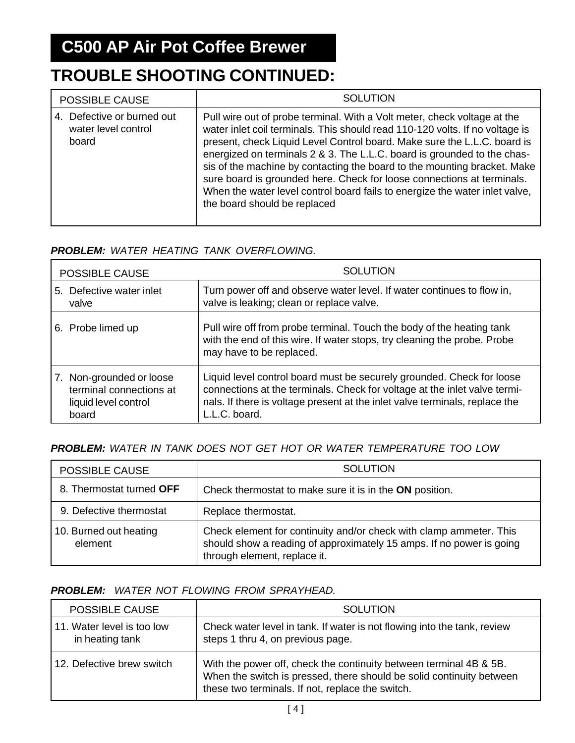### **TROUBLE SHOOTING CONTINUED:**

| <b>POSSIBLE CAUSE</b>                                      | <b>SOLUTION</b>                                                                                                                                                                                                                                                                                                                                                                                                                                                                                                                                                                      |
|------------------------------------------------------------|--------------------------------------------------------------------------------------------------------------------------------------------------------------------------------------------------------------------------------------------------------------------------------------------------------------------------------------------------------------------------------------------------------------------------------------------------------------------------------------------------------------------------------------------------------------------------------------|
| 4. Defective or burned out<br>water level control<br>board | Pull wire out of probe terminal. With a Volt meter, check voltage at the<br>water inlet coil terminals. This should read 110-120 volts. If no voltage is<br>present, check Liquid Level Control board. Make sure the L.L.C. board is<br>energized on terminals 2 & 3. The L.L.C. board is grounded to the chas-<br>sis of the machine by contacting the board to the mounting bracket. Make<br>sure board is grounded here. Check for loose connections at terminals.<br>When the water level control board fails to energize the water inlet valve,<br>the board should be replaced |

#### **PROBLEM:** WATER HEATING TANK OVERFLOWING.

| <b>POSSIBLE CAUSE</b>                                                                | <b>SOLUTION</b>                                                                                                                                                                                                                                    |
|--------------------------------------------------------------------------------------|----------------------------------------------------------------------------------------------------------------------------------------------------------------------------------------------------------------------------------------------------|
| 5. Defective water inlet<br>valve                                                    | Turn power off and observe water level. If water continues to flow in,<br>valve is leaking; clean or replace valve.                                                                                                                                |
| 6. Probe limed up                                                                    | Pull wire off from probe terminal. Touch the body of the heating tank<br>with the end of this wire. If water stops, try cleaning the probe. Probe<br>may have to be replaced.                                                                      |
| 7. Non-grounded or loose<br>terminal connections at<br>liquid level control<br>board | Liquid level control board must be securely grounded. Check for loose<br>connections at the terminals. Check for voltage at the inlet valve termi-<br>nals. If there is voltage present at the inlet valve terminals, replace the<br>L.L.C. board. |

#### **PROBLEM:** WATER IN TANK DOES NOT GET HOT OR WATER TEMPERATURE TOO LOW

| <b>POSSIBLE CAUSE</b>             | <b>SOLUTION</b>                                                                                                                                                            |
|-----------------------------------|----------------------------------------------------------------------------------------------------------------------------------------------------------------------------|
| 8. Thermostat turned OFF          | Check thermostat to make sure it is in the ON position.                                                                                                                    |
| 9. Defective thermostat           | Replace thermostat.                                                                                                                                                        |
| 10. Burned out heating<br>element | Check element for continuity and/or check with clamp ammeter. This<br>should show a reading of approximately 15 amps. If no power is going<br>through element, replace it. |

#### **PROBLEM:** WATER NOT FLOWING FROM SPRAYHEAD.

| <b>POSSIBLE CAUSE</b>                         | <b>SOLUTION</b>                                                                                                                                                                                |
|-----------------------------------------------|------------------------------------------------------------------------------------------------------------------------------------------------------------------------------------------------|
| 11. Water level is too low<br>in heating tank | Check water level in tank. If water is not flowing into the tank, review<br>steps 1 thru 4, on previous page.                                                                                  |
| 12. Defective brew switch                     | With the power off, check the continuity between terminal 4B & 5B.<br>When the switch is pressed, there should be solid continuity between<br>these two terminals. If not, replace the switch. |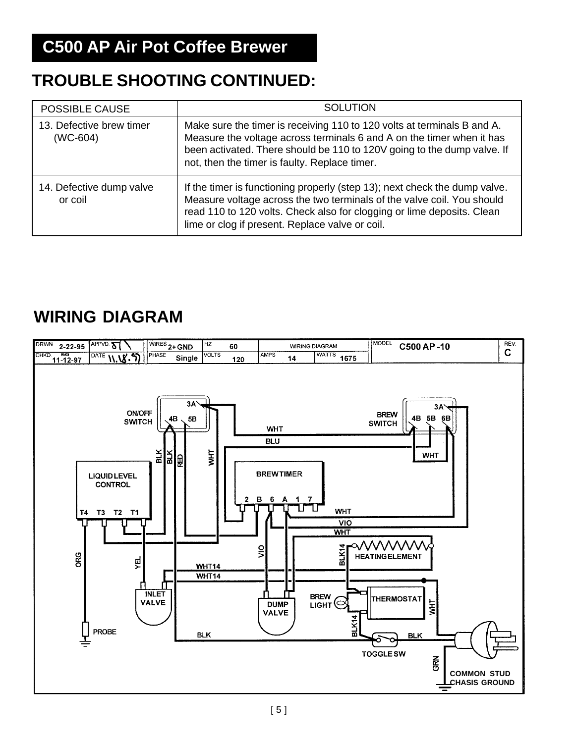# **TROUBLE SHOOTING CONTINUED:**

| <b>POSSIBLE CAUSE</b>                  | <b>SOLUTION</b>                                                                                                                                                                                                                                                                   |
|----------------------------------------|-----------------------------------------------------------------------------------------------------------------------------------------------------------------------------------------------------------------------------------------------------------------------------------|
| 13. Defective brew timer<br>$(WC-604)$ | Make sure the timer is receiving 110 to 120 volts at terminals B and A.<br>Measure the voltage across terminals 6 and A on the timer when it has<br>been activated. There should be 110 to 120V going to the dump valve. If<br>not, then the timer is faulty. Replace timer.      |
| 14. Defective dump valve<br>or coil    | If the timer is functioning properly (step 13); next check the dump valve.<br>Measure voltage across the two terminals of the valve coil. You should<br>read 110 to 120 volts. Check also for clogging or lime deposits. Clean<br>lime or clog if present. Replace valve or coil. |

## **WIRING DIAGRAM**

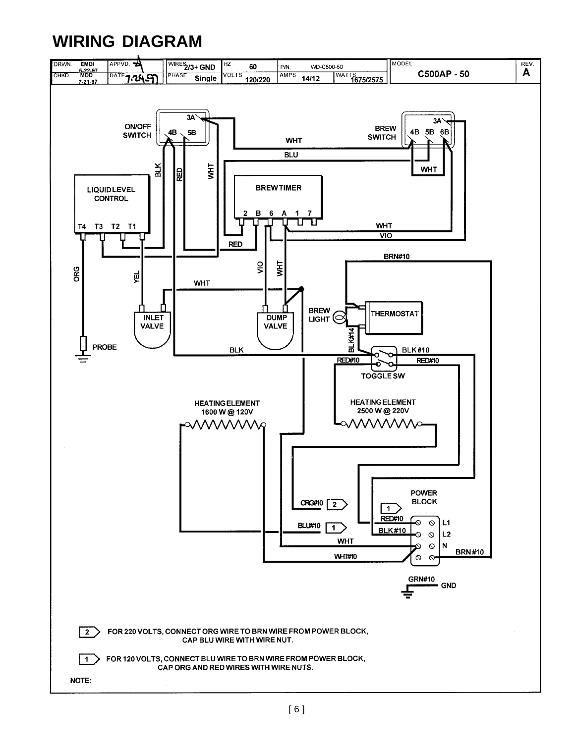# **WIRING DIAGRAM**

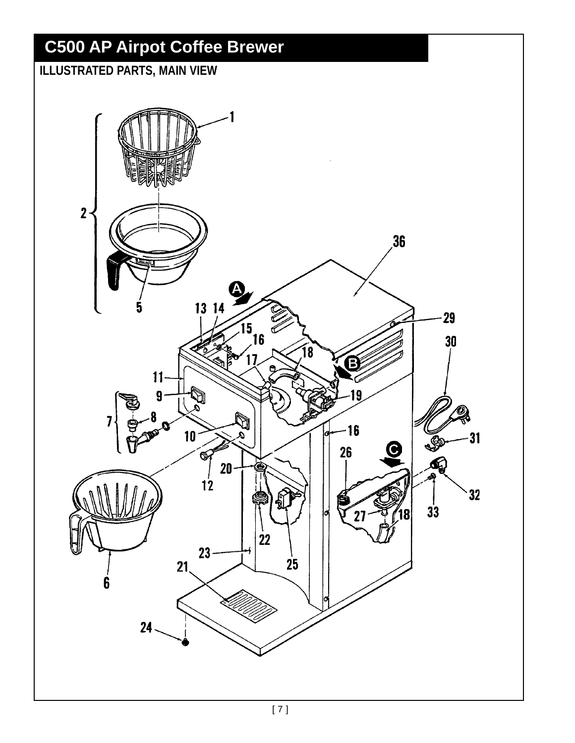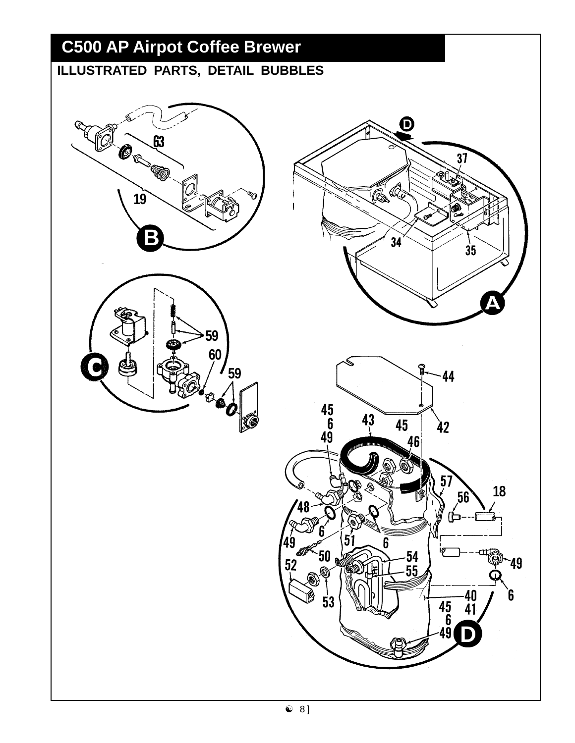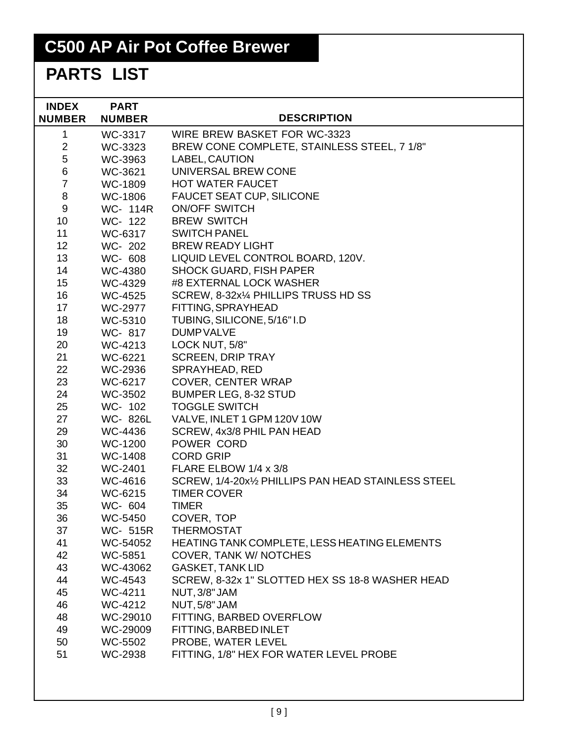# **C500 AP Air Pot Coffee Brewer**

# **PARTS LIST**

| <b>INDEX</b><br><b>NUMBER</b> | <b>PART</b><br><b>NUMBER</b> | <b>DESCRIPTION</b>                                  |
|-------------------------------|------------------------------|-----------------------------------------------------|
| $\mathbf 1$                   | WC-3317                      | WIRE BREW BASKET FOR WC-3323                        |
| $\overline{2}$                | WC-3323                      | BREW CONE COMPLETE, STAINLESS STEEL, 7 1/8"         |
| 5                             | WC-3963                      | LABEL, CAUTION                                      |
| 6                             | WC-3621                      | UNIVERSAL BREW CONE                                 |
| $\overline{7}$                | WC-1809                      | <b>HOT WATER FAUCET</b>                             |
| 8                             | WC-1806                      | <b>FAUCET SEAT CUP, SILICONE</b>                    |
| 9                             | WC- 114R                     | <b>ON/OFF SWITCH</b>                                |
| 10 <sup>°</sup>               | WC- 122                      | <b>BREW SWITCH</b>                                  |
| 11                            | WC-6317                      | <b>SWITCH PANEL</b>                                 |
| 12                            | WC- 202                      | <b>BREW READY LIGHT</b>                             |
| 13                            | WC- 608                      | LIQUID LEVEL CONTROL BOARD, 120V.                   |
| 14                            | WC-4380                      | <b>SHOCK GUARD, FISH PAPER</b>                      |
| 15 <sub>2</sub>               | WC-4329                      | #8 EXTERNAL LOCK WASHER                             |
| 16                            | WC-4525                      | SCREW, 8-32x1/4 PHILLIPS TRUSS HD SS                |
| 17                            | WC-2977                      | FITTING, SPRAYHEAD                                  |
| 18                            | WC-5310                      | TUBING, SILICONE, 5/16" I.D                         |
| 19                            | WC- 817                      | <b>DUMP VALVE</b>                                   |
| 20                            | WC-4213                      | LOCK NUT, 5/8"                                      |
| 21                            | WC-6221                      | <b>SCREEN, DRIP TRAY</b>                            |
| 22                            | WC-2936                      | SPRAYHEAD, RED                                      |
| 23                            | WC-6217                      | <b>COVER, CENTER WRAP</b>                           |
| 24                            | WC-3502                      | BUMPER LEG, 8-32 STUD                               |
| 25                            | WC- 102                      | <b>TOGGLE SWITCH</b>                                |
| 27                            | WC-826L                      | VALVE, INLET 1 GPM 120V 10W                         |
| 29                            | WC-4436                      | SCREW, 4x3/8 PHIL PAN HEAD                          |
| 30                            | WC-1200                      | POWER CORD                                          |
| 31                            | WC-1408                      | <b>CORD GRIP</b>                                    |
| 32                            | WC-2401                      | FLARE ELBOW 1/4 x 3/8                               |
| 33                            | WC-4616                      | SCREW, 1/4-20x1/2 PHILLIPS PAN HEAD STAINLESS STEEL |
| 34                            | WC-6215                      | <b>TIMER COVER</b>                                  |
| 35                            | WC- 604                      | <b>TIMER</b>                                        |
| 36                            | WC-5450                      | COVER, TOP                                          |
| 37                            | WC- 515R                     | <b>THERMOSTAT</b>                                   |
| 41                            | WC-54052                     | HEATING TANK COMPLETE, LESS HEATING ELEMENTS        |
| 42                            | WC-5851                      | <b>COVER, TANK W/ NOTCHES</b>                       |
| 43                            | WC-43062                     | <b>GASKET, TANK LID</b>                             |
| 44                            | WC-4543                      | SCREW, 8-32x 1" SLOTTED HEX SS 18-8 WASHER HEAD     |
| 45                            | WC-4211                      | NUT, 3/8" JAM                                       |
| 46                            | WC-4212                      | NUT, 5/8" JAM                                       |
| 48                            | WC-29010                     | FITTING, BARBED OVERFLOW                            |
| 49                            | WC-29009                     | FITTING, BARBED INLET                               |
| 50                            | WC-5502                      | PROBE, WATER LEVEL                                  |
| 51                            | WC-2938                      | FITTING, 1/8" HEX FOR WATER LEVEL PROBE             |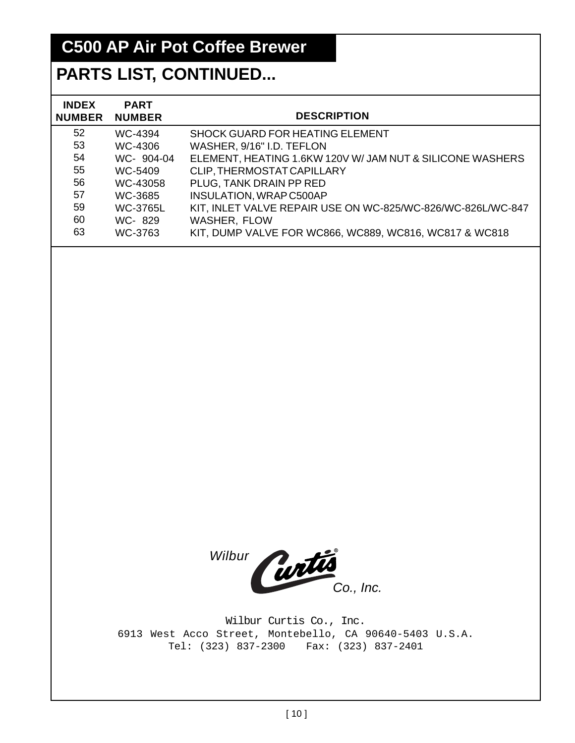# **C500 AP Air Pot Coffee Brewer**

### **PARTS LIST, CONTINUED...**

| <b>INDEX</b><br><b>NUMBER</b> | <b>PART</b><br><b>NUMBER</b> | <b>DESCRIPTION</b>                                          |
|-------------------------------|------------------------------|-------------------------------------------------------------|
| 52 <sub>2</sub>               | WC-4394                      | <b>SHOCK GUARD FOR HEATING ELEMENT</b>                      |
| 53                            | WC-4306                      | WASHER, 9/16" I.D. TEFLON                                   |
| 54                            | WC- 904-04                   | ELEMENT, HEATING 1.6KW 120V W/ JAM NUT & SILICONE WASHERS   |
| 55                            | WC-5409                      | CLIP, THERMOSTAT CAPILLARY                                  |
| 56                            | WC-43058                     | PLUG, TANK DRAIN PP RED                                     |
| 57                            | WC-3685                      | <b>INSULATION, WRAP C500AP</b>                              |
| 59                            | <b>WC-3765L</b>              | KIT, INLET VALVE REPAIR USE ON WC-825/WC-826/WC-826L/WC-847 |
| 60                            | WC-829                       | <b>WASHER, FLOW</b>                                         |
| 63                            | WC-3763                      | KIT, DUMP VALVE FOR WC866, WC889, WC816, WC817 & WC818      |

Wilbur Curtis

Wilbur Curtis Co., Inc. 6913 West Acco Street, Montebello, CA 90640-5403 U.S.A. Tel: (323) 837-2300 Fax: (323) 837-2401